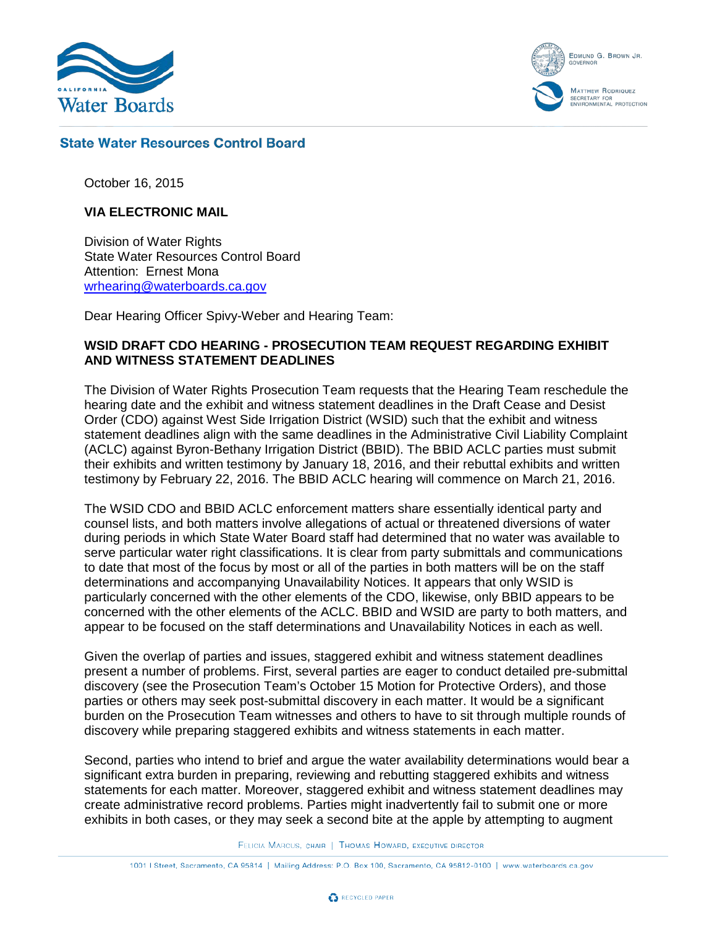

EDMUND G. BROWN JR. **GOVERNO MATTHEW RODRIQUEZ** ECRETARY FOR<br>NVIRONMENTAL PROTECTION

## **State Water Resources Control Board**

October 16, 2015

#### **VIA ELECTRONIC MAIL**

Division of Water Rights State Water Resources Control Board Attention: Ernest Mona [wrhearing@waterboards.ca.gov](mailto:wrhearing@waterboards.ca.gov)

Dear Hearing Officer Spivy-Weber and Hearing Team:

#### **WSID DRAFT CDO HEARING - PROSECUTION TEAM REQUEST REGARDING EXHIBIT AND WITNESS STATEMENT DEADLINES**

The Division of Water Rights Prosecution Team requests that the Hearing Team reschedule the hearing date and the exhibit and witness statement deadlines in the Draft Cease and Desist Order (CDO) against West Side Irrigation District (WSID) such that the exhibit and witness statement deadlines align with the same deadlines in the Administrative Civil Liability Complaint (ACLC) against Byron-Bethany Irrigation District (BBID). The BBID ACLC parties must submit their exhibits and written testimony by January 18, 2016, and their rebuttal exhibits and written testimony by February 22, 2016. The BBID ACLC hearing will commence on March 21, 2016.

The WSID CDO and BBID ACLC enforcement matters share essentially identical party and counsel lists, and both matters involve allegations of actual or threatened diversions of water during periods in which State Water Board staff had determined that no water was available to serve particular water right classifications. It is clear from party submittals and communications to date that most of the focus by most or all of the parties in both matters will be on the staff determinations and accompanying Unavailability Notices. It appears that only WSID is particularly concerned with the other elements of the CDO, likewise, only BBID appears to be concerned with the other elements of the ACLC. BBID and WSID are party to both matters, and appear to be focused on the staff determinations and Unavailability Notices in each as well.

Given the overlap of parties and issues, staggered exhibit and witness statement deadlines present a number of problems. First, several parties are eager to conduct detailed pre-submittal discovery (see the Prosecution Team's October 15 Motion for Protective Orders), and those parties or others may seek post-submittal discovery in each matter. It would be a significant burden on the Prosecution Team witnesses and others to have to sit through multiple rounds of discovery while preparing staggered exhibits and witness statements in each matter.

Second, parties who intend to brief and argue the water availability determinations would bear a significant extra burden in preparing, reviewing and rebutting staggered exhibits and witness statements for each matter. Moreover, staggered exhibit and witness statement deadlines may create administrative record problems. Parties might inadvertently fail to submit one or more exhibits in both cases, or they may seek a second bite at the apple by attempting to augment

FELICIA MARCUS, CHAIR | THOMAS HOWARD, EXECUTIVE DIRECTOR

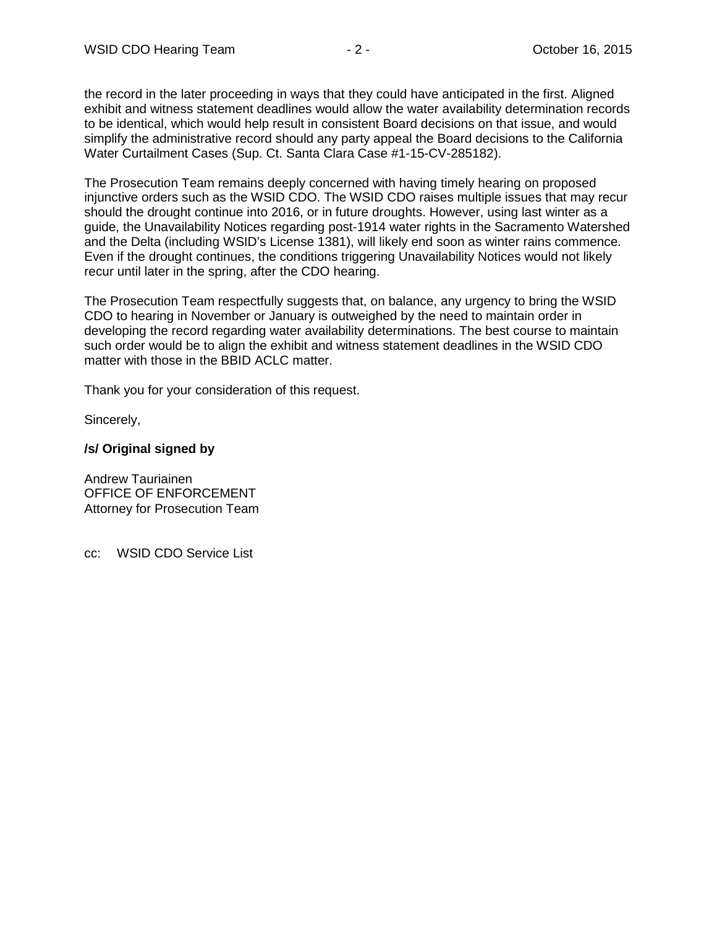the record in the later proceeding in ways that they could have anticipated in the first. Aligned exhibit and witness statement deadlines would allow the water availability determination records to be identical, which would help result in consistent Board decisions on that issue, and would simplify the administrative record should any party appeal the Board decisions to the California Water Curtailment Cases (Sup. Ct. Santa Clara Case #1-15-CV-285182).

The Prosecution Team remains deeply concerned with having timely hearing on proposed injunctive orders such as the WSID CDO. The WSID CDO raises multiple issues that may recur should the drought continue into 2016, or in future droughts. However, using last winter as a guide, the Unavailability Notices regarding post-1914 water rights in the Sacramento Watershed and the Delta (including WSID's License 1381), will likely end soon as winter rains commence. Even if the drought continues, the conditions triggering Unavailability Notices would not likely recur until later in the spring, after the CDO hearing.

The Prosecution Team respectfully suggests that, on balance, any urgency to bring the WSID CDO to hearing in November or January is outweighed by the need to maintain order in developing the record regarding water availability determinations. The best course to maintain such order would be to align the exhibit and witness statement deadlines in the WSID CDO matter with those in the BBID ACLC matter.

Thank you for your consideration of this request.

Sincerely,

# **/s/ Original signed by**

Andrew Tauriainen OFFICE OF ENFORCEMENT Attorney for Prosecution Team

cc: WSID CDO Service List